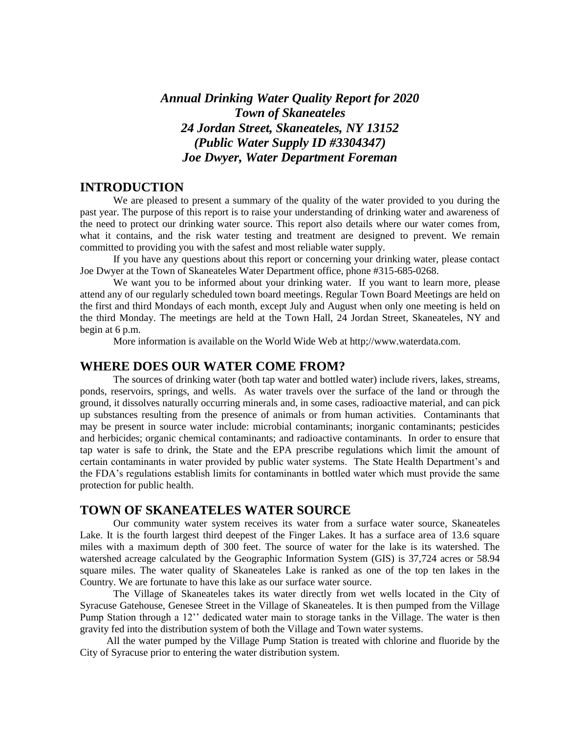# *Annual Drinking Water Quality Report for 2020 Town of Skaneateles 24 Jordan Street, Skaneateles, NY 13152 (Public Water Supply ID #3304347) Joe Dwyer, Water Department Foreman*

# **INTRODUCTION**

 We are pleased to present a summary of the quality of the water provided to you during the past year. The purpose of this report is to raise your understanding of drinking water and awareness of the need to protect our drinking water source. This report also details where our water comes from, what it contains, and the risk water testing and treatment are designed to prevent. We remain committed to providing you with the safest and most reliable water supply.

If you have any questions about this report or concerning your drinking water, please contact Joe Dwyer at the Town of Skaneateles Water Department office, phone #315-685-0268.

We want you to be informed about your drinking water. If you want to learn more, please attend any of our regularly scheduled town board meetings. Regular Town Board Meetings are held on the first and third Mondays of each month, except July and August when only one meeting is held on the third Monday. The meetings are held at the Town Hall, 24 Jordan Street, Skaneateles, NY and begin at 6 p.m.

More information is available on the World Wide Web at http;//www.waterdata.com.

# **WHERE DOES OUR WATER COME FROM?**

The sources of drinking water (both tap water and bottled water) include rivers, lakes, streams, ponds, reservoirs, springs, and wells. As water travels over the surface of the land or through the ground, it dissolves naturally occurring minerals and, in some cases, radioactive material, and can pick up substances resulting from the presence of animals or from human activities. Contaminants that may be present in source water include: microbial contaminants; inorganic contaminants; pesticides and herbicides; organic chemical contaminants; and radioactive contaminants. In order to ensure that tap water is safe to drink, the State and the EPA prescribe regulations which limit the amount of certain contaminants in water provided by public water systems. The State Health Department's and the FDA's regulations establish limits for contaminants in bottled water which must provide the same protection for public health.

# **TOWN OF SKANEATELES WATER SOURCE**

Our community water system receives its water from a surface water source, Skaneateles Lake. It is the fourth largest third deepest of the Finger Lakes. It has a surface area of 13.6 square miles with a maximum depth of 300 feet. The source of water for the lake is its watershed. The watershed acreage calculated by the Geographic Information System (GIS) is 37,724 acres or 58.94 square miles. The water quality of Skaneateles Lake is ranked as one of the top ten lakes in the Country. We are fortunate to have this lake as our surface water source.

The Village of Skaneateles takes its water directly from wet wells located in the City of Syracuse Gatehouse, Genesee Street in the Village of Skaneateles. It is then pumped from the Village Pump Station through a 12'' dedicated water main to storage tanks in the Village. The water is then gravity fed into the distribution system of both the Village and Town water systems.

All the water pumped by the Village Pump Station is treated with chlorine and fluoride by the City of Syracuse prior to entering the water distribution system.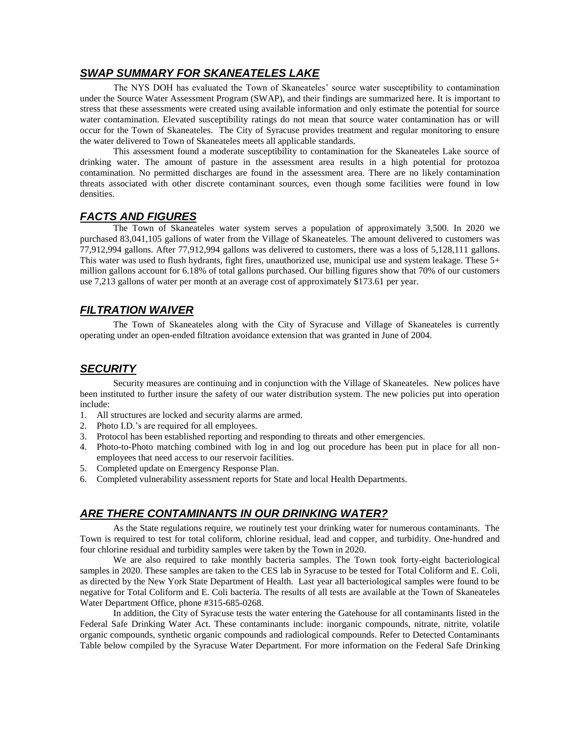# *SWAP SUMMARY FOR SKANEATELES LAKE*

The NYS DOH has evaluated the Town of Skaneateles' source water susceptibility to contamination under the Source Water Assessment Program (SWAP), and their findings are summarized here. It is important to stress that these assessments were created using available information and only estimate the potential for source water contamination. Elevated susceptibility ratings do not mean that source water contamination has or will occur for the Town of Skaneateles. The City of Syracuse provides treatment and regular monitoring to ensure the water delivered to Town of Skaneateles meets all applicable standards.

This assessment found a moderate susceptibility to contamination for the Skaneateles Lake source of drinking water. The amount of pasture in the assessment area results in a high potential for protozoa contamination. No permitted discharges are found in the assessment area. There are no likely contamination threats associated with other discrete contaminant sources, even though some facilities were found in low densities.

### *FACTS AND FIGURES*

The Town of Skaneateles water system serves a population of approximately 3,500. In 2020 we purchased 83,041,105 gallons of water from the Village of Skaneateles. The amount delivered to customers was 77,912,994 gallons. After 77,912,994 gallons was delivered to customers, there was a loss of 5,128,111 gallons. This water was used to flush hydrants, fight fires, unauthorized use, municipal use and system leakage. These 5+ million gallons account for 6.18% of total gallons purchased. Our billing figures show that 70% of our customers use 7,213 gallons of water per month at an average cost of approximately \$173.61 per year.

# *FILTRATION WAIVER*

The Town of Skaneateles along with the City of Syracuse and Village of Skaneateles is currently operating under an open-ended filtration avoidance extension that was granted in June of 2004.

# *SECURITY*

Security measures are continuing and in conjunction with the Village of Skaneateles. New polices have been instituted to further insure the safety of our water distribution system. The new policies put into operation include:

- 1. All structures are locked and security alarms are armed.
- 2. Photo I.D.'s are required for all employees.
- 3. Protocol has been established reporting and responding to threats and other emergencies.
- 4. Photo-to-Photo matching combined with log in and log out procedure has been put in place for all nonemployees that need access to our reservoir facilities.
- 5. Completed update on Emergency Response Plan.
- 6. Completed vulnerability assessment reports for State and local Health Departments.

### *ARE THERE CONTAMINANTS IN OUR DRINKING WATER?*

As the State regulations require, we routinely test your drinking water for numerous contaminants. The Town is required to test for total coliform, chlorine residual, lead and copper, and turbidity. One-hundred and four chlorine residual and turbidity samples were taken by the Town in 2020.

We are also required to take monthly bacteria samples. The Town took forty-eight bacteriological samples in 2020. These samples are taken to the CES lab in Syracuse to be tested for Total Coliform and E. Coli, as directed by the New York State Department of Health. Last year all bacteriological samples were found to be negative for Total Coliform and E. Coli bacteria. The results of all tests are available at the Town of Skaneateles Water Department Office, phone #315-685-0268.

In addition, the City of Syracuse tests the water entering the Gatehouse for all contaminants listed in the Federal Safe Drinking Water Act. These contaminants include: inorganic compounds, nitrate, nitrite, volatile organic compounds, synthetic organic compounds and radiological compounds. Refer to Detected Contaminants Table below compiled by the Syracuse Water Department. For more information on the Federal Safe Drinking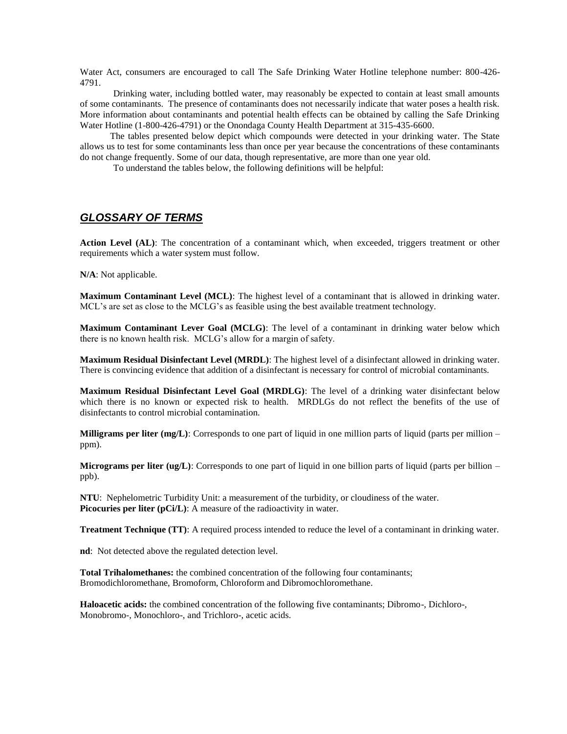Water Act, consumers are encouraged to call The Safe Drinking Water Hotline telephone number: 800-426- 4791.

Drinking water, including bottled water, may reasonably be expected to contain at least small amounts of some contaminants. The presence of contaminants does not necessarily indicate that water poses a health risk. More information about contaminants and potential health effects can be obtained by calling the Safe Drinking Water Hotline (1-800-426-4791) or the Onondaga County Health Department at 315-435-6600.

 The tables presented below depict which compounds were detected in your drinking water. The State allows us to test for some contaminants less than once per year because the concentrations of these contaminants do not change frequently. Some of our data, though representative, are more than one year old.

To understand the tables below, the following definitions will be helpful:

# *GLOSSARY OF TERMS*

Action Level (AL): The concentration of a contaminant which, when exceeded, triggers treatment or other requirements which a water system must follow.

**N/A**: Not applicable.

**Maximum Contaminant Level (MCL)**: The highest level of a contaminant that is allowed in drinking water. MCL's are set as close to the MCLG's as feasible using the best available treatment technology.

**Maximum Contaminant Lever Goal (MCLG)**: The level of a contaminant in drinking water below which there is no known health risk. MCLG's allow for a margin of safety.

**Maximum Residual Disinfectant Level (MRDL)**: The highest level of a disinfectant allowed in drinking water. There is convincing evidence that addition of a disinfectant is necessary for control of microbial contaminants.

**Maximum Residual Disinfectant Level Goal (MRDLG)**: The level of a drinking water disinfectant below which there is no known or expected risk to health. MRDLGs do not reflect the benefits of the use of disinfectants to control microbial contamination.

**Milligrams per liter**  $(mg/L)$ **:** Corresponds to one part of liquid in one million parts of liquid (parts per million – ppm).

**Micrograms per liter (ug/L)**: Corresponds to one part of liquid in one billion parts of liquid (parts per billion – ppb).

**NTU**: Nephelometric Turbidity Unit: a measurement of the turbidity, or cloudiness of the water. **Picocuries per liter (pCi/L):** A measure of the radioactivity in water.

**Treatment Technique (TT)**: A required process intended to reduce the level of a contaminant in drinking water.

**nd**: Not detected above the regulated detection level.

**Total Trihalomethanes:** the combined concentration of the following four contaminants; Bromodichloromethane, Bromoform, Chloroform and Dibromochloromethane.

**Haloacetic acids:** the combined concentration of the following five contaminants; Dibromo-, Dichloro-, Monobromo-, Monochloro-, and Trichloro-, acetic acids.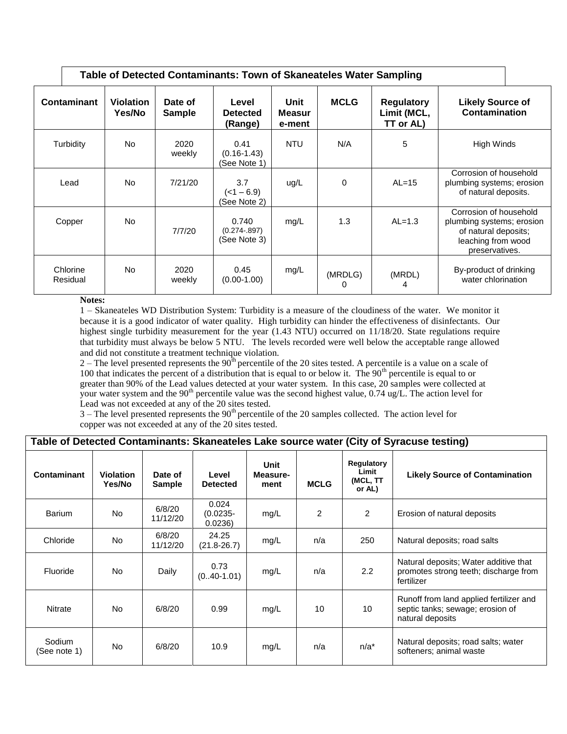| Table of Detected Contaminants: Town of Skaneateles Water Sampling |                            |                   |                                            |                          |              |                                               |                                                                                                                     |  |  |
|--------------------------------------------------------------------|----------------------------|-------------------|--------------------------------------------|--------------------------|--------------|-----------------------------------------------|---------------------------------------------------------------------------------------------------------------------|--|--|
| <b>Contaminant</b>                                                 | <b>Violation</b><br>Yes/No | Date of<br>Sample | Level<br><b>Detected</b><br>(Range)        | Unit<br>Measur<br>e-ment | <b>MCLG</b>  | <b>Regulatory</b><br>Limit (MCL,<br>TT or AL) | <b>Likely Source of</b><br>Contamination                                                                            |  |  |
| Turbidity                                                          | No.                        | 2020<br>weekly    | 0.41<br>$(0.16 - 1.43)$<br>(See Note 1)    | <b>NTU</b>               | N/A          | 5                                             | High Winds                                                                                                          |  |  |
| Lead                                                               | No.                        | 7/21/20           | 3.7<br>$($ < 1 $-$ 6.9)<br>(See Note 2)    | ug/L                     | 0            | $AL=15$                                       | Corrosion of household<br>plumbing systems; erosion<br>of natural deposits.                                         |  |  |
| Copper                                                             | No.                        | 7/7/20            | 0.740<br>$(0.274 - 0.897)$<br>(See Note 3) | mg/L                     | 1.3          | $AL=1.3$                                      | Corrosion of household<br>plumbing systems; erosion<br>of natural deposits;<br>leaching from wood<br>preservatives. |  |  |
| Chlorine<br>Residual                                               | No.                        | 2020<br>weekly    | 0.45<br>$(0.00-1.00)$                      | mg/L                     | (MRDLG)<br>0 | (MRDL)<br>4                                   | By-product of drinking<br>water chlorination                                                                        |  |  |

#### **Notes:**

1 – Skaneateles WD Distribution System: Turbidity is a measure of the cloudiness of the water. We monitor it because it is a good indicator of water quality. High turbidity can hinder the effectiveness of disinfectants. Our highest single turbidity measurement for the year (1.43 NTU) occurred on 11/18/20. State regulations require that turbidity must always be below 5 NTU. The levels recorded were well below the acceptable range allowed and did not constitute a treatment technique violation.

 $2 -$  The level presented represents the  $90<sup>th</sup>$  percentile of the 20 sites tested. A percentile is a value on a scale of 100 that indicates the percent of a distribution that is equal to or below it. The 90<sup>th</sup> percentile is equal to or greater than 90% of the Lead values detected at your water system. In this case, 20 samples were collected at your water system and the 90<sup>th</sup> percentile value was the second highest value,  $0.74$  ug/L. The action level for Lead was not exceeded at any of the 20 sites tested.

 $3$  – The level presented represents the  $90<sup>th</sup>$  percentile of the 20 samples collected. The action level for copper was not exceeded at any of the 20 sites tested.

| Table of Detected Contaminants: Skaneateles Lake source water (City of Syracuse testing) |  |  |  |  |
|------------------------------------------------------------------------------------------|--|--|--|--|
|------------------------------------------------------------------------------------------|--|--|--|--|

| Contaminant            | <b>Violation</b><br>Yes/No | Date of<br><b>Sample</b> | Level<br><b>Detected</b>       | Unit<br>Measure-<br>ment | <b>MCLG</b>    | Regulatory<br>Limit<br>(MCL, TT<br>or AL) | <b>Likely Source of Contamination</b>                                                           |
|------------------------|----------------------------|--------------------------|--------------------------------|--------------------------|----------------|-------------------------------------------|-------------------------------------------------------------------------------------------------|
| <b>Barium</b>          | No.                        | 6/8/20<br>11/12/20       | 0.024<br>$(0.0235 -$<br>0.0236 | mg/L                     | $\overline{2}$ | $\overline{2}$                            | Erosion of natural deposits                                                                     |
| Chloride               | No                         | 6/8/20<br>11/12/20       | 24.25<br>$(21.8 - 26.7)$       | mg/L                     | n/a            | 250                                       | Natural deposits; road salts                                                                    |
| Fluoride               | No.                        | Daily                    | 0.73<br>$(0.40 - 1.01)$        | mg/L                     | n/a            | 2.2                                       | Natural deposits; Water additive that<br>promotes strong teeth; discharge from<br>fertilizer    |
| <b>Nitrate</b>         | No.                        | 6/8/20                   | 0.99                           | mg/L                     | 10             | 10                                        | Runoff from land applied fertilizer and<br>septic tanks; sewage; erosion of<br>natural deposits |
| Sodium<br>(See note 1) | <b>No</b>                  | 6/8/20                   | 10.9                           | mg/L                     | n/a            | $n/a^*$                                   | Natural deposits; road salts; water<br>softeners; animal waste                                  |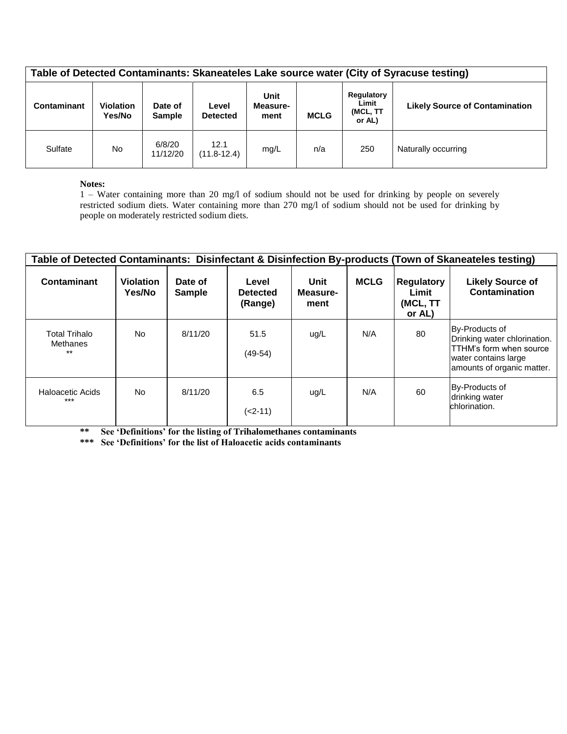| Table of Detected Contaminants: Skaneateles Lake source water (City of Syracuse testing) |                            |                          |                          |                          |             |                                           |                                       |  |  |  |
|------------------------------------------------------------------------------------------|----------------------------|--------------------------|--------------------------|--------------------------|-------------|-------------------------------------------|---------------------------------------|--|--|--|
| Contaminant                                                                              | <b>Violation</b><br>Yes/No | Date of<br><b>Sample</b> | Level<br><b>Detected</b> | Unit<br>Measure-<br>ment | <b>MCLG</b> | Regulatory<br>Limit<br>(MCL, TT<br>or AL) | <b>Likely Source of Contamination</b> |  |  |  |
| Sulfate                                                                                  | No.                        | 6/8/20<br>11/12/20       | 12.1<br>$(11.8 - 12.4)$  | mq/L                     | n/a         | 250                                       | Naturally occurring                   |  |  |  |

#### **Notes:**

1 – Water containing more than 20 mg/l of sodium should not be used for drinking by people on severely restricted sodium diets. Water containing more than 270 mg/l of sodium should not be used for drinking by people on moderately restricted sodium diets.

| Table of Detected Contaminants: Disinfectant & Disinfection By-products (Town of Skaneateles testing) |                            |                          |                                     |                          |             |                                                  |                                                                                                                                 |  |  |
|-------------------------------------------------------------------------------------------------------|----------------------------|--------------------------|-------------------------------------|--------------------------|-------------|--------------------------------------------------|---------------------------------------------------------------------------------------------------------------------------------|--|--|
| Contaminant                                                                                           | <b>Violation</b><br>Yes/No | Date of<br><b>Sample</b> | Level<br><b>Detected</b><br>(Range) | Unit<br>Measure-<br>ment | <b>MCLG</b> | <b>Regulatory</b><br>Limit<br>(MCL, TT<br>or AL) | <b>Likely Source of</b><br><b>Contamination</b>                                                                                 |  |  |
| <b>Total Trihalo</b><br>Methanes<br>$***$                                                             | No.                        | 8/11/20                  | 51.5<br>$(49-54)$                   | ug/L                     | N/A         | 80                                               | By-Products of<br>Drinking water chlorination.<br>TTHM's form when source<br>water contains large<br>amounts of organic matter. |  |  |
| Haloacetic Acids<br>$***$                                                                             | No.                        | 8/11/20                  | 6.5<br>$(2-11)$                     | ug/L                     | N/A         | 60                                               | By-Products of<br>drinking water<br>chlorination.                                                                               |  |  |

**\*\* See 'Definitions' for the listing of Trihalomethanes contaminants** 

**\*\*\* See 'Definitions' for the list of Haloacetic acids contaminants**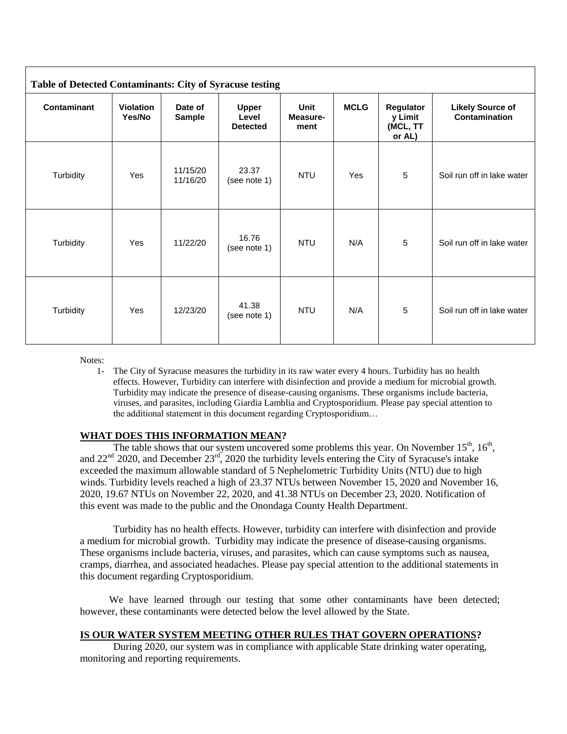| <b>Table of Detected Contaminants: City of Syracuse testing</b> |                            |                          |                                          |                          |             |                                            |                                                 |  |  |
|-----------------------------------------------------------------|----------------------------|--------------------------|------------------------------------------|--------------------------|-------------|--------------------------------------------|-------------------------------------------------|--|--|
| <b>Contaminant</b>                                              | <b>Violation</b><br>Yes/No | Date of<br><b>Sample</b> | <b>Upper</b><br>Level<br><b>Detected</b> | Unit<br>Measure-<br>ment | <b>MCLG</b> | Regulator<br>y Limit<br>(MCL, TT<br>or AL) | <b>Likely Source of</b><br><b>Contamination</b> |  |  |
| Turbidity                                                       | Yes                        | 11/15/20<br>11/16/20     | 23.37<br>(see note 1)                    | <b>NTU</b>               | Yes         | $5\phantom{.0}$                            | Soil run off in lake water                      |  |  |
| Turbidity                                                       | Yes                        | 11/22/20                 | 16.76<br>(see note 1)                    | <b>NTU</b>               | N/A         | $5\phantom{.0}$                            | Soil run off in lake water                      |  |  |
| Turbidity                                                       | Yes                        | 12/23/20                 | 41.38<br>(see note 1)                    | <b>NTU</b>               | N/A         | 5                                          | Soil run off in lake water                      |  |  |

Notes:

1- The City of Syracuse measures the turbidity in its raw water every 4 hours. Turbidity has no health effects. However, Turbidity can interfere with disinfection and provide a medium for microbial growth. Turbidity may indicate the presence of disease-causing organisms. These organisms include bacteria, viruses, and parasites, including Giardia Lamblia and Cryptosporidium. Please pay special attention to the additional statement in this document regarding Cryptosporidium…

# **WHAT DOES THIS INFORMATION MEAN?**

The table shows that our system uncovered some problems this year. On November  $15<sup>th</sup>$ ,  $16<sup>th</sup>$ , and 22<sup>nd</sup> 2020, and December 23<sup>rd</sup>, 2020 the turbidity levels entering the City of Syracuse's intake exceeded the maximum allowable standard of 5 Nephelometric Turbidity Units (NTU) due to high winds. Turbidity levels reached a high of 23.37 NTUs between November 15, 2020 and November 16, 2020, 19.67 NTUs on November 22, 2020, and 41.38 NTUs on December 23, 2020. Notification of this event was made to the public and the Onondaga County Health Department.

Turbidity has no health effects. However, turbidity can interfere with disinfection and provide a medium for microbial growth. Turbidity may indicate the presence of disease-causing organisms. These organisms include bacteria, viruses, and parasites, which can cause symptoms such as nausea, cramps, diarrhea, and associated headaches. Please pay special attention to the additional statements in this document regarding Cryptosporidium.

We have learned through our testing that some other contaminants have been detected; however, these contaminants were detected below the level allowed by the State.

### **IS OUR WATER SYSTEM MEETING OTHER RULES THAT GOVERN OPERATIONS?**

During 2020, our system was in compliance with applicable State drinking water operating, monitoring and reporting requirements.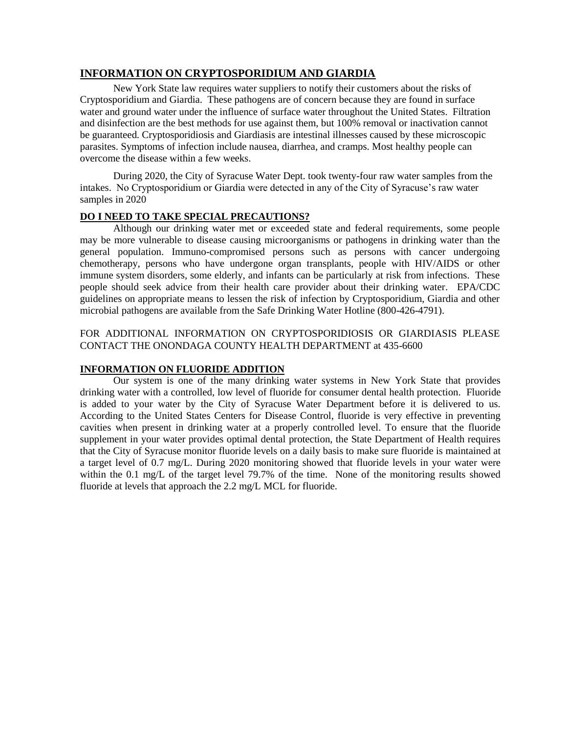# **INFORMATION ON CRYPTOSPORIDIUM AND GIARDIA**

New York State law requires water suppliers to notify their customers about the risks of Cryptosporidium and Giardia. These pathogens are of concern because they are found in surface water and ground water under the influence of surface water throughout the United States. Filtration and disinfection are the best methods for use against them, but 100% removal or inactivation cannot be guaranteed. Cryptosporidiosis and Giardiasis are intestinal illnesses caused by these microscopic parasites. Symptoms of infection include nausea, diarrhea, and cramps. Most healthy people can overcome the disease within a few weeks.

During 2020, the City of Syracuse Water Dept. took twenty-four raw water samples from the intakes. No Cryptosporidium or Giardia were detected in any of the City of Syracuse's raw water samples in 2020

### **DO I NEED TO TAKE SPECIAL PRECAUTIONS?**

Although our drinking water met or exceeded state and federal requirements, some people may be more vulnerable to disease causing microorganisms or pathogens in drinking water than the general population. Immuno-compromised persons such as persons with cancer undergoing chemotherapy, persons who have undergone organ transplants, people with HIV/AIDS or other immune system disorders, some elderly, and infants can be particularly at risk from infections. These people should seek advice from their health care provider about their drinking water. EPA/CDC guidelines on appropriate means to lessen the risk of infection by Cryptosporidium, Giardia and other microbial pathogens are available from the Safe Drinking Water Hotline (800-426-4791).

FOR ADDITIONAL INFORMATION ON CRYPTOSPORIDIOSIS OR GIARDIASIS PLEASE CONTACT THE ONONDAGA COUNTY HEALTH DEPARTMENT at 435-6600

### **INFORMATION ON FLUORIDE ADDITION**

Our system is one of the many drinking water systems in New York State that provides drinking water with a controlled, low level of fluoride for consumer dental health protection. Fluoride is added to your water by the City of Syracuse Water Department before it is delivered to us. According to the United States Centers for Disease Control, fluoride is very effective in preventing cavities when present in drinking water at a properly controlled level. To ensure that the fluoride supplement in your water provides optimal dental protection, the State Department of Health requires that the City of Syracuse monitor fluoride levels on a daily basis to make sure fluoride is maintained at a target level of 0.7 mg/L. During 2020 monitoring showed that fluoride levels in your water were within the 0.1 mg/L of the target level 79.7% of the time. None of the monitoring results showed fluoride at levels that approach the 2.2 mg/L MCL for fluoride.